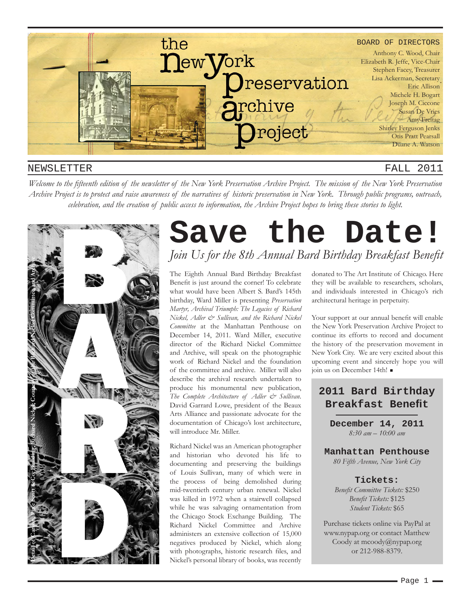

#### NEWSLETTER

#### FALL 2011

*Welcome to the fifteenth edition of the newsletter of the New York Preservation Archive Project. The mission of the New York Preservation Archive Project is to protect and raise awareness of the narratives of historic preservation in New York. Through public programs, outreach, celebration, and the creation of public access to information, the Archive Project hopes to bring these stories to light.* 



# **Save the Date!** *Join Us for the 8th Annual Bard Birthday Breakfast Benefit*

The Eighth Annual Bard Birthday Breakfast Benefit is just around the corner! To celebrate what would have been Albert S. Bard's 145th birthday, Ward Miller is presenting *Preservation Martyr, Archival Triumph: The Legacies of Richard Nickel, Adler & Sullivan, and the Richard Nickel Committee* at the Manhattan Penthouse on December 14, 2011. Ward Miller, executive director of the Richard Nickel Committee and Archive, will speak on the photographic work of Richard Nickel and the foundation of the committee and archive. Miller will also describe the archival research undertaken to produce his monumental new publication, *The Complete Architecture of Adler & Sullivan*. David Garrard Lowe, president of the Beaux Arts Alliance and passionate advocate for the documentation of Chicago's lost architecture, will introduce Mr. Miller.

Richard Nickel was an American photographer and historian who devoted his life to documenting and preserving the buildings of Louis Sullivan, many of which were in the process of being demolished during mid-twentieth century urban renewal. Nickel was killed in 1972 when a stairwell collapsed while he was salvaging ornamentation from the Chicago Stock Exchange Building. The Richard Nickel Committee and Archive administers an extensive collection of 15,000 negatives produced by Nickel, which along with photographs, historic research files, and Nickel's personal library of books, was recently

donated to The Art Institute of Chicago. Here they will be available to researchers, scholars, and individuals interested in Chicago's rich architectural heritage in perpetuity.

Your support at our annual benefit will enable the New York Preservation Archive Project to continue its efforts to record and document the history of the preservation movement in New York City. We are very excited about this upcoming event and sincerely hope you will join us on December 14th!

## **2011 Bard Birthday Breakfast Benefit**

**December 14, 2011** *8:30 am – 10:00 am*

**Manhattan Penthouse** *80 Fifth Avenue, New York City*

#### **Tickets:**

*Benefit Committee Tickets:* \$250 *Benefit Tickets:* \$125 *Student Tickets:* \$65

Purchase tickets online via PayPal at www.nypap.org or contact Matthew Coody at mcoody@nypap.org or 212-988-8379.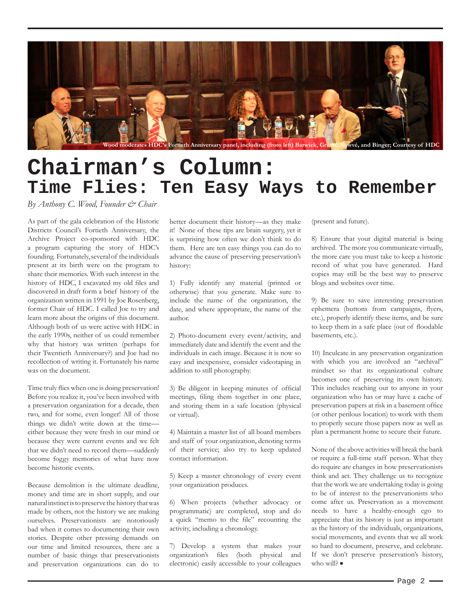

# **Chairman's Column: Time Flies: Ten Easy Ways to Remember**

*By Anthony C. Wood, Founder & Chair*

As part of the gala celebration of the Historic Districts Council's Fortieth Anniversary, the Archive Project co-sponsored with HDC a program capturing the story of HDC's founding. Fortunately, several of the individuals present at its birth were on the program to share their memories. With such interest in the history of HDC, I excavated my old files and discovered in draft form a brief history of the organization written in 1991 by Joe Rosenberg, former Chair of HDC. I called Joe to try and learn more about the origins of this document. Although both of us were active with HDC in the early 1990s, neither of us could remember why that history was written (perhaps for their Twentieth Anniversary?) and Joe had no recollection of writing it. Fortunately his name was on the document.

Time truly flies when one is doing preservation! Before you realize it, you've been involved with a preservation organization for a decade, then two, and for some, even longer! All of those things we didn't write down at the time either because they were fresh in our mind or because they were current events and we felt that we didn't need to record them—suddenly become foggy memories of what have now become historic events.

Because demolition is the ultimate deadline, money and time are in short supply, and our natural instinct is to preserve the history that was made by others, not the history we are making ourselves. Preservationists are notoriously bad when it comes to documenting their own stories. Despite other pressing demands on our time and limited resources, there are a number of basic things that preservationists and preservation organizations can do to better document their history—as they make it! None of these tips are brain surgery, yet it is surprising how often we don't think to do them. Here are ten easy things you can do to advance the cause of preserving preservation's history:

1) Fully identify any material (printed or otherwise) that you generate. Make sure to include the name of the organization, the date, and where appropriate, the name of the author.

2) Photo-document every event/activity, and immediately date and identify the event and the individuals in each image. Because it is now so easy and inexpensive, consider videotaping in addition to still photography.

3) Be diligent in keeping minutes of official meetings, filing them together in one place, and storing them in a safe location (physical or virtual).

4) Maintain a master list of all board members and staff of your organization, denoting terms of their service; also try to keep updated contact information.

5) Keep a master chronology of every event your organization produces.

6) When projects (whether advocacy or programmatic) are completed, stop and do a quick "memo to the file" recounting the activity, including a chronology.

7) Develop a system that makes your organization's files (both physical and electronic) easily accessible to your colleagues

(present and future).

8) Ensure that your digital material is being archived. The more you communicate virtually, the more care you must take to keep a historic record of what you have generated. Hard copies may still be the best way to preserve blogs and websites over time.

9) Be sure to save interesting preservation ephemera (buttons from campaigns, flyers, etc.), properly identify these items, and be sure to keep them in a safe place (out of floodable basements, etc.).

10) Inculcate in any preservation organization with which you are involved an "archival" mindset so that its organizational culture becomes one of preserving its own history. This includes reaching out to anyone in your organization who has or may have a cache of preservation papers at risk in a basement office (or other perilous location) to work with them to properly secure those papers now as well as plan a permanent home to secure their future.

None of the above activities will break the bank or require a full-time staff person. What they do require are changes in how preservationists think and act. They challenge us to recognize that the work we are undertaking today is going to be of interest to the preservationists who come after us. Preservation as a movement needs to have a healthy-enough ego to appreciate that its history is just as important as the history of the individuals, organizations, social movements, and events that we all work so hard to document, preserve, and celebrate. If we don't preserve preservation's history, who will?  $\blacksquare$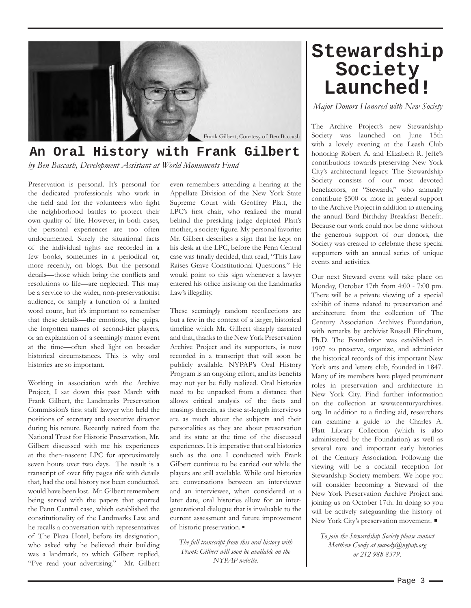

### **An Oral History with Frank Gilbert** *by Ben Baccash, Development Assistant at World Monuments Fund*

Preservation is personal. It's personal for the dedicated professionals who work in the field and for the volunteers who fight the neighborhood battles to protect their own quality of life. However, in both cases, the personal experiences are too often undocumented. Surely the situational facts of the individual fights are recorded in a few books, sometimes in a periodical or, more recently, on blogs. But the personal details—those which bring the conflicts and resolutions to life—are neglected. This may be a service to the wider, non-preservationist audience, or simply a function of a limited word count, but it's important to remember that these details—the emotions, the quips, the forgotten names of second-tier players, or an explanation of a seemingly minor event at the time—often shed light on broader historical circumstances. This is why oral histories are so important.

Working in association with the Archive Project, I sat down this past March with Frank Gilbert, the Landmarks Preservation Commission's first staff lawyer who held the positions of secretary and executive director during his tenure. Recently retired from the National Trust for Historic Preservation, Mr. Gilbert discussed with me his experiences at the then-nascent LPC for approximately seven hours over two days. The result is a transcript of over fifty pages rife with details that, had the oral history not been conducted, would have been lost. Mr. Gilbert remembers being served with the papers that spurred the Penn Central case, which established the constitutionality of the Landmarks Law, and he recalls a conversation with representatives of The Plaza Hotel, before its designation, who asked why he believed their building was a landmark, to which Gilbert replied, "I've read your advertising." Mr. Gilbert

even remembers attending a hearing at the Appellate Division of the New York State Supreme Court with Geoffrey Platt, the LPC's first chair, who realized the mural behind the presiding judge depicted Platt's mother, a society figure. My personal favorite: Mr. Gilbert describes a sign that he kept on his desk at the LPC, before the Penn Central case was finally decided, that read, "This Law Raises Grave Constitutional Questions." He would point to this sign whenever a lawyer entered his office insisting on the Landmarks Law's illegality.

These seemingly random recollections are but a few in the context of a larger, historical timeline which Mr. Gilbert sharply narrated and that, thanks to the New York Preservation Archive Project and its supporters, is now recorded in a transcript that will soon be publicly available. NYPAP's Oral History Program is an ongoing effort, and its benefits may not yet be fully realized. Oral histories need to be unpacked from a distance that allows critical analysis of the facts and musings therein, as these at-length interviews are as much about the subjects and their personalities as they are about preservation and its state at the time of the discussed experiences. It is imperative that oral histories such as the one I conducted with Frank Gilbert continue to be carried out while the players are still available. While oral histories are conversations between an interviewer and an interviewee, when considered at a later date, oral histories allow for an intergenerational dialogue that is invaluable to the current assessment and future improvement of historic preservation.

*The full transcript from this oral history with Frank Gilbert will soon be available on the NYPAP website.* 

## **Stewardship Society Launched!**

*Major Donors Honored with New Society*

The Archive Project's new Stewardship Society was launched on June 15th with a lovely evening at the Leash Club honoring Robert A. and Elizabeth R. Jeffe's contributions towards preserving New York City's architectural legacy. The Stewardship Society consists of our most devoted benefactors, or "Stewards," who annually contribute \$500 or more in general support to the Archive Project in addition to attending the annual Bard Birthday Breakfast Benefit. Because our work could not be done without the generous support of our donors, the Society was created to celebrate these special supporters with an annual series of unique events and activities.

Our next Steward event will take place on Monday, October 17th from 4:00 - 7:00 pm. There will be a private viewing of a special exhibit of items related to preservation and architecture from the collection of The Century Association Archives Foundation, with remarks by archivist Russell Flinchum, Ph.D. The Foundation was established in 1997 to preserve, organize, and administer the historical records of this important New York arts and letters club, founded in 1847. Many of its members have played prominent roles in preservation and architecture in New York City. Find further information on the collection at www.centuryarchives. org. In addition to a finding aid, researchers can examine a guide to the Charles A. Platt Library Collection (which is also administered by the Foundation) as well as several rare and important early histories of the Century Association. Following the viewing will be a cocktail reception for Stewardship Society members. We hope you will consider becoming a Steward of the New York Preservation Archive Project and joining us on October 17th. In doing so you will be actively safeguarding the history of New York City's preservation movement.

*To join the Stewardship Society please contact Matthew Coody at mcoody@nypap.org or 212-988-8379.*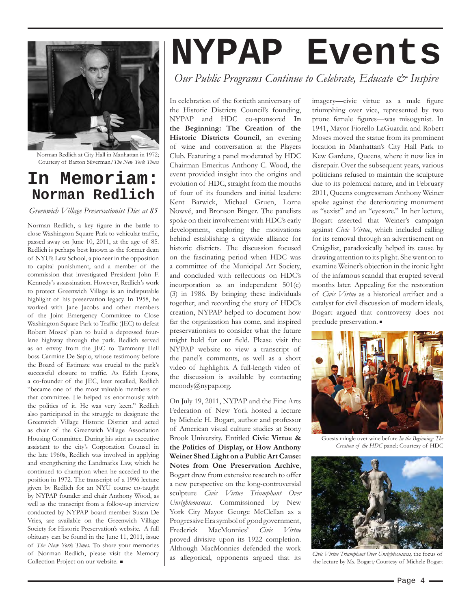

Norman Redlich at City Hall in Manhattan in 1972; Courtesy of Barton Silverman/*The New York Times*

## **In Memoriam: Norman Redlich**

*Greenwich Village Preservationist Dies at 85*

Norman Redlich, a key figure in the battle to close Washington Square Park to vehicular traffic, passed away on June 10, 2011, at the age of 85. Redlich is perhaps best known as the former dean of NYU's Law School, a pioneer in the opposition to capital punishment, and a member of the commission that investigated President John F. Kennedy's assassination. However, Redlich's work to protect Greenwich Village is an indisputable highlight of his preservation legacy. In 1958, he worked with Jane Jacobs and other members of the Joint Emergency Committee to Close Washington Square Park to Traffic (JEC) to defeat Robert Moses' plan to build a depressed fourlane highway through the park. Redlich served as an envoy from the JEC to Tammany Hall boss Carmine De Sapio, whose testimony before the Board of Estimate was crucial to the park's successful closure to traffic. As Edith Lyons, a co-founder of the JEC, later recalled, Redlich "became one of the most valuable members of that committee. He helped us enormously with the politics of it. He was very keen." Redlich also participated in the struggle to designate the Greenwich Village Historic District and acted as chair of the Greenwich Village Association Housing Committee. During his stint as executive assistant to the city's Corporation Counsel in the late 1960s, Redlich was involved in applying and strengthening the Landmarks Law, which he continued to champion when he acceded to the position in 1972. The transcript of a 1996 lecture given by Redlich for an NYU course co-taught by NYPAP founder and chair Anthony Wood, as well as the transcript from a follow-up interview conducted by NYPAP board member Susan De Vries, are available on the Greenwich Village Society for Historic Preservation's website. A full obituary can be found in the June 11, 2011, issue of *The New York Times*. To share your memories of Norman Redlich, please visit the Memory Collection Project on our website. ■

# **NYPAP Events**

*Our Public Programs Continue to Celebrate, Educate & Inspire*

In celebration of the fortieth anniversary of the Historic Districts Council's founding, NYPAP and HDC co-sponsored **In the Beginning: The Creation of the Historic Districts Council**, an evening of wine and conversation at the Players Club. Featuring a panel moderated by HDC Chairman Emeritus Anthony C. Wood, the event provided insight into the origins and evolution of HDC, straight from the mouths of four of its founders and initial leaders: Kent Barwick, Michael Gruen, Lorna Nowvé, and Bronson Binger. The panelists spoke on their involvement with HDC's early development, exploring the motivations behind establishing a citywide alliance for historic districts. The discussion focused on the fascinating period when HDC was a committee of the Municipal Art Society, and concluded with reflections on HDC's incorporation as an independent 501(c) (3) in 1986. By bringing these individuals together, and recording the story of HDC's creation, NYPAP helped to document how far the organization has come, and inspired preservationists to consider what the future might hold for our field. Please visit the NYPAP website to view a transcript of the panel's comments, as well as a short video of highlights. A full-length video of the discussion is available by contacting mcoody@nypap.org.

On July 19, 2011, NYPAP and the Fine Arts Federation of New York hosted a lecture by Michele H. Bogart, author and professor of American visual culture studies at Stony Brook University. Entitled **Civic Virtue & the Politics of Display, or How Anthony Weiner Shed Light on a Public Art Cause: Notes from One Preservation Archive**, Bogart drew from extensive research to offer a new perspective on the long-controversial sculpture *Civic Virtue Triumphant Over Unrighteousness*. Commissioned by New York City Mayor George McClellan as a Progressive Era symbol of good government, Frederick MacMonnies' *Civic Virtue* proved divisive upon its 1922 completion. Although MacMonnies defended the work as allegorical, opponents argued that its imagery—civic virtue as a male figure triumphing over vice, represented by two prone female figures—was misogynist. In 1941, Mayor Fiorello LaGuardia and Robert Moses moved the statue from its prominent location in Manhattan's City Hall Park to Kew Gardens, Queens, where it now lies in disrepair. Over the subsequent years, various politicians refused to maintain the sculpture due to its polemical nature, and in February 2011, Queens congressman Anthony Weiner spoke against the deteriorating monument as "sexist" and an "eyesore." In her lecture, Bogart asserted that Weiner's campaign against *Civic Virtue*, which included calling for its removal through an advertisement on Craigslist, paradoxically helped its cause by drawing attention to its plight. She went on to examine Weiner's objection in the ironic light of the infamous scandal that erupted several months later. Appealing for the restoration of *Civic Virtue* as a historical artifact and a catalyst for civil discussion of modern ideals, Bogart argued that controversy does not preclude preservation.



Guests mingle over wine before *In the Beginning: The Creation of the HDC* panel; Courtesy of HDC



*Civic Virtue Triumphant Over Unrighteousness,* the focus of the lecture by Ms. Bogart*;* Courtesy of Michele Bogart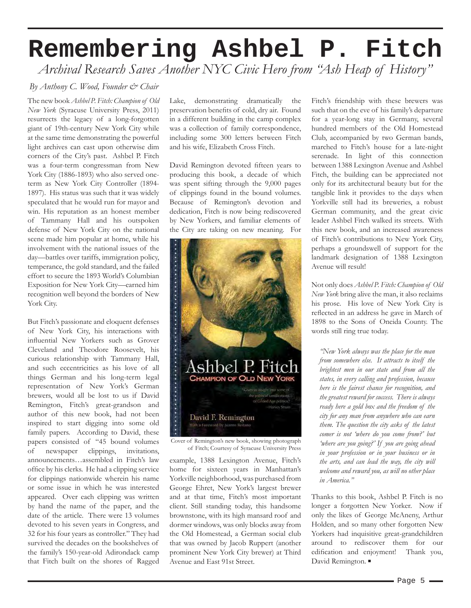# **Remembering Ashbel P. Fitch** *Archival Research Saves Another NYC Civic Hero from "Ash Heap of History"*

#### *By Anthony C. Wood, Founder & Chair*

The new book *Ashbel P. Fitch: Champion of Old New York* (Syracuse University Press, 2011) resurrects the legacy of a long-forgotten giant of 19th-century New York City while at the same time demonstrating the powerful light archives can cast upon otherwise dim corners of the City's past. Ashbel P. Fitch was a four-term congressman from New York City (1886-1893) who also served oneterm as New York City Controller (1894- 1897). His status was such that it was widely speculated that he would run for mayor and win. His reputation as an honest member of Tammany Hall and his outspoken defense of New York City on the national scene made him popular at home, while his involvement with the national issues of the day—battles over tariffs, immigration policy, temperance, the gold standard, and the failed effort to secure the 1893 World's Columbian Exposition for New York City—earned him recognition well beyond the borders of New York City.

But Fitch's passionate and eloquent defenses of New York City, his interactions with influential New Yorkers such as Grover Cleveland and Theodore Roosevelt, his curious relationship with Tammany Hall, and such eccentricities as his love of all things German and his long-term legal representation of New York's German brewers, would all be lost to us if David Remington, Fitch's great-grandson and author of this new book, had not been inspired to start digging into some old family papers. According to David, these papers consisted of "45 bound volumes of newspaper clippings, invitations, announcements…assembled in Fitch's law office by his clerks. He had a clipping service for clippings nationwide wherein his name or some issue in which he was interested appeared. Over each clipping was written by hand the name of the paper, and the date of the article. There were 13 volumes devoted to his seven years in Congress, and 32 for his four years as controller." They had survived the decades on the bookshelves of the family's 150-year-old Adirondack camp that Fitch built on the shores of Ragged

Lake, demonstrating dramatically the preservation benefits of cold, dry air. Found in a different building in the camp complex was a collection of family correspondence, including some 300 letters between Fitch and his wife, Elizabeth Cross Fitch.

David Remington devoted fifteen years to producing this book, a decade of which was spent sifting through the 9,000 pages of clippings found in the bound volumes. Because of Remington's devotion and dedication, Fitch is now being rediscovered by New Yorkers, and familiar elements of the City are taking on new meaning. For



Cover of Remington's new book, showing photograph of Fitch; Courtesy of Syracuse University Press

example, 1388 Lexington Avenue, Fitch's home for sixteen years in Manhattan's Yorkville neighborhood, was purchased from George Ehret, New York's largest brewer and at that time, Fitch's most important client. Still standing today, this handsome brownstone, with its high mansard roof and dormer windows, was only blocks away from the Old Homestead, a German social club that was owned by Jacob Ruppert (another prominent New York City brewer) at Third Avenue and East 91st Street.

Fitch's friendship with these brewers was such that on the eve of his family's departure for a year-long stay in Germany, several hundred members of the Old Homestead Club, accompanied by two German bands, marched to Fitch's house for a late-night serenade. In light of this connection between 1388 Lexington Avenue and Ashbel Fitch, the building can be appreciated not only for its architectural beauty but for the tangible link it provides to the days when Yorkville still had its breweries, a robust German community, and the great civic leader Ashbel Fitch walked its streets. With this new book, and an increased awareness of Fitch's contributions to New York City, perhaps a groundswell of support for the landmark designation of 1388 Lexington Avenue will result!

Not only does *Ashbel P. Fitch: Champion of Old New York* bring alive the man, it also reclaims his prose. His love of New York City is reflected in an address he gave in March of 1898 to the Sons of Oneida County. The words still ring true today.

*"New York always was the place for the man from somewhere else. It attracts to itself the brightest men in our state and from all the states, in every calling and profession, because here is the fairest chance for recognition, and the greatest reward for success. There is always ready here a gold box and the freedom of the city for any man from anywhere who can earn them. The question the city asks of the latest comer is not 'where do you come from?' but 'where are you going?' If you are going ahead in your profession or in your business or in the arts, and can lead the way, the city will welcome and reward you, as will no other place in America."*

Thanks to this book, Ashbel P. Fitch is no longer a forgotten New Yorker. Now if only the likes of George McAneny, Arthur Holden, and so many other forgotten New Yorkers had inquisitive great-grandchildren around to rediscover them for our edification and enjoyment! Thank you, David Remington.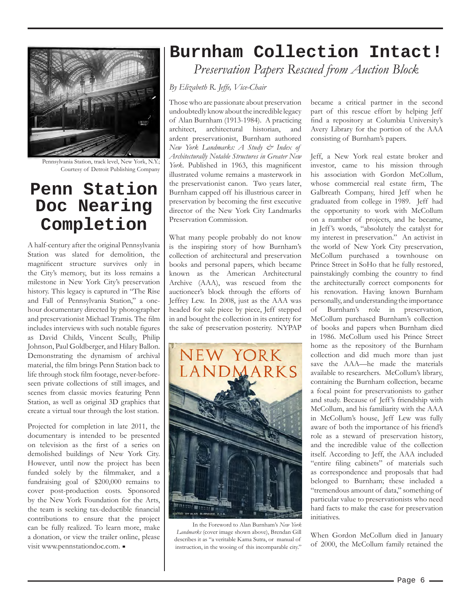

Pennsylvania Station, track level, New York, N.Y.; Courtesy of Detroit Publishing Company

## **Penn Station Doc Nearing Completion**

A half-century after the original Pennsylvania Station was slated for demolition, the magnificent structure survives only in the City's memory, but its loss remains a milestone in New York City's preservation history. This legacy is captured in "The Rise and Fall of Pennsylvania Station," a onehour documentary directed by photographer and preservationist Michael Tramis. The film includes interviews with such notable figures as David Childs, Vincent Scully, Philip Johnson, Paul Goldberger, and Hilary Ballon. Demonstrating the dynamism of archival material, the film brings Penn Station back to life through stock film footage, never-beforeseen private collections of still images, and scenes from classic movies featuring Penn Station, as well as original 3D graphics that create a virtual tour through the lost station.

Projected for completion in late 2011, the documentary is intended to be presented on television as the first of a series on demolished buildings of New York City. However, until now the project has been funded solely by the filmmaker, and a fundraising goal of \$200,000 remains to cover post-production costs. Sponsored by the New York Foundation for the Arts, the team is seeking tax-deductible financial contributions to ensure that the project can be fully realized. To learn more, make a donation, or view the trailer online, please visit www.pennstationdoc.com.

## **Burnham Collection Intact!**

*Preservation Papers Rescued from Auction Block*

*By Elizabeth R. Jeffe, Vice-Chair*

Those who are passionate about preservation undoubtedly know about the incredible legacy of Alan Burnham (1913-1984). A practicing architect, architectural historian, and ardent preservationist, Burnham authored *New York Landmarks: A Study & Index of Architecturally Notable Structures in Greater New York*. Published in 1963, this magnificent illustrated volume remains a masterwork in the preservationist canon. Two years later, Burnham capped off his illustrious career in preservation by becoming the first executive director of the New York City Landmarks Preservation Commission.

What many people probably do not know is the inspiring story of how Burnham's collection of architectural and preservation books and personal papers, which became known as the American Architectural Archive (AAA), was rescued from the auctioneer's block through the efforts of Jeffrey Lew. In 2008, just as the AAA was headed for sale piece by piece, Jeff stepped in and bought the collection in its entirety for the sake of preservation posterity. NYPAP



In the Foreword to Alan Burnham's *New York Landmarks* (cover image shown above), Brendan Gill describes it as "a veritable Kama Sutra, or manual of instruction, in the wooing of this incomparable city."

became a critical partner in the second part of this rescue effort by helping Jeff find a repository at Columbia University's Avery Library for the portion of the AAA consisting of Burnham's papers.

Jeff, a New York real estate broker and investor, came to his mission through his association with Gordon McCollum, whose commercial real estate firm, The Galbreath Company, hired Jeff when he graduated from college in 1989. Jeff had the opportunity to work with McCollum on a number of projects, and he became, in Jeff 's words, "absolutely the catalyst for my interest in preservation." An activist in the world of New York City preservation, McCollum purchased a townhouse on Prince Street in SoHo that he fully restored, painstakingly combing the country to find the architecturally correct components for his renovation. Having known Burnham personally, and understanding the importance of Burnham's role in preservation, McCollum purchased Burnham's collection of books and papers when Burnham died in 1986. McCollum used his Prince Street home as the repository of the Burnham collection and did much more than just save the AAA—he made the materials available to researchers. McCollum's library, containing the Burnham collection, became a focal point for preservationists to gather and study. Because of Jeff 's friendship with McCollum, and his familiarity with the AAA in McCollum's house, Jeff Lew was fully aware of both the importance of his friend's role as a steward of preservation history, and the incredible value of the collection itself. According to Jeff, the AAA included "entire filing cabinets" of materials such as correspondence and proposals that had belonged to Burnham; these included a "tremendous amount of data," something of particular value to preservationists who need hard facts to make the case for preservation initiatives.

When Gordon McCollum died in January of 2000, the McCollum family retained the